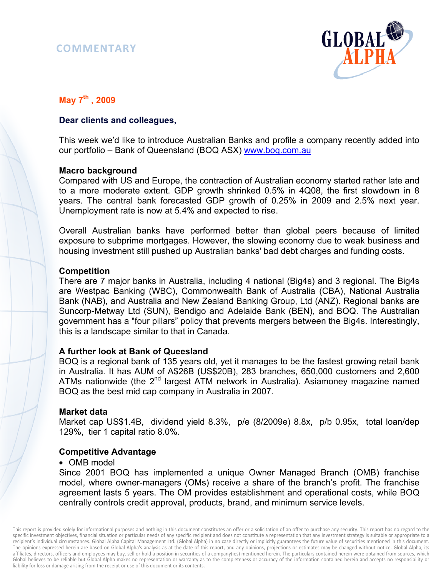# **COMMENTARY**



## **May 7th , 2009**

## **Dear clients and colleagues,**

This week we'd like to introduce Australian Banks and profile a company recently added into our portfolio - Bank of Queensland (BOQ ASX) www.boq.com.au

## **Macro background**

Compared with US and Europe, the contraction of Australian economy started rather late and to a more moderate extent. GDP growth shrinked 0.5% in 4Q08, the first slowdown in 8 years. The central bank forecasted GDP growth of 0.25% in 2009 and 2.5% next year. Unemployment rate is now at 5.4% and expected to rise.

Overall Australian banks have performed better than global peers because of limited exposure to subprime mortgages. However, the slowing economy due to weak business and housing investment still pushed up Australian banks' bad debt charges and funding costs.

## **Competition**

There are 7 major banks in Australia, including 4 national (Big4s) and 3 regional. The Big4s are Westpac Banking (WBC), Commonwealth Bank of Australia (CBA), National Australia Bank (NAB), and Australia and New Zealand Banking Group, Ltd (ANZ). Regional banks are Suncorp-Metway Ltd (SUN), Bendigo and Adelaide Bank (BEN), and BOQ. The Australian government has a "four pillars" policy that prevents mergers between the Big4s. Interestingly, this is a landscape similar to that in Canada.

## **A further look at Bank of Queesland**

BOQ is a regional bank of 135 years old, yet it manages to be the fastest growing retail bank in Australia. It has AUM of A\$26B (US\$20B), 283 branches, 650,000 customers and 2,600 ATMs nationwide (the  $2^{nd}$  largest ATM network in Australia). Asiamoney magazine named BOQ as the best mid cap company in Australia in 2007.

#### **Market data**

Market cap US\$1.4B, dividend yield 8.3%, p/e (8/2009e) 8.8x, p/b 0.95x, total loan/dep 129%, tier 1 capital ratio 8.0%.

## **Competitive Advantage**

#### • OMB model

Since 2001 BOQ has implemented a unique Owner Managed Branch (OMB) franchise model, where owner-managers (OMs) receive a share of the branch's profit. The franchise agreement lasts 5 years. The OM provides establishment and operational costs, while BOQ centrally controls credit approval, products, brand, and minimum service levels.

This report is provided solely for informational purposes and nothing in this document constitutes an offer or a solicitation of an offer to purchase any security. This report has no regard to the specific investment objectives, financial situation or particular needs of any specific recipient and does not constitute a representation that any investment strategy is suitable or appropriate to a recipient's individual circumstances. Global Alpha Capital Management Ltd. (Global Alpha) in no case directly or implicitly guarantees the future value of securities mentioned in this document. The opinions expressed herein are based on Global Alpha's analysis as at the date of this report, and any opinions, projections or estimates may be changed without notice. Global Alpha, its affiliates, directors, officers and employees may buy, sell or hold a position in securities of a company(ies) mentioned herein. The particulars contained herein were obtained from sources, which Global believes to be reliable but Global Alpha makes no representation or warranty as to the completeness or accuracy of the information contained herein and accepts no responsibility or liability for loss or damage arising from the receipt or use of this document or its contents.